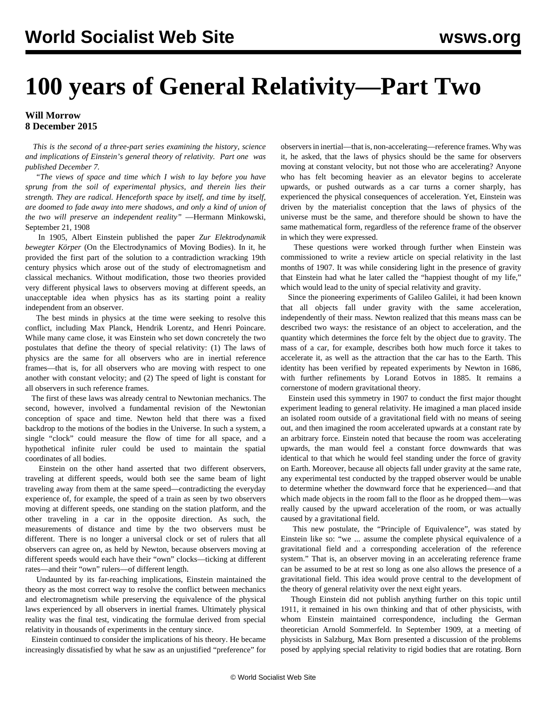## **100 years of General Relativity—Part Two**

## **Will Morrow 8 December 2015**

 *This is the second of a three-part series examining the history, science and implications of Einstein's general theory of relativity. [Part one](/en/articles/2015/12/07/ein1-d07.html) was published December 7.*

 *"The views of space and time which I wish to lay before you have sprung from the soil of experimental physics, and therein lies their strength. They are radical. Henceforth space by itself, and time by itself, are doomed to fade away into mere shadows, and only a kind of union of the two will preserve an independent reality"* —Hermann Minkowski, September 21, 1908

 In 1905, Albert Einstein published the paper *Zur Elektrodynamik bewegter Körper* (On the Electrodynamics of Moving Bodies). In it, he provided the first part of the solution to a contradiction wracking 19th century physics which arose out of the study of electromagnetism and classical mechanics. Without modification, those two theories provided very different physical laws to observers moving at different speeds, an unacceptable idea when physics has as its starting point a reality independent from an observer.

 The best minds in physics at the time were seeking to resolve this conflict, including Max Planck, Hendrik Lorentz, and Henri Poincare. While many came close, it was Einstein who set down concretely the two postulates that define the theory of special relativity: (1) The laws of physics are the same for all observers who are in inertial reference frames—that is, for all observers who are moving with respect to one another with constant velocity; and (2) The speed of light is constant for all observers in such reference frames.

 The first of these laws was already central to Newtonian mechanics. The second, however, involved a fundamental revision of the Newtonian conception of space and time. Newton held that there was a fixed backdrop to the motions of the bodies in the Universe. In such a system, a single "clock" could measure the flow of time for all space, and a hypothetical infinite ruler could be used to maintain the spatial coordinates of all bodies.

 Einstein on the other hand asserted that two different observers, traveling at different speeds, would both see the same beam of light traveling away from them at the same speed—contradicting the everyday experience of, for example, the speed of a train as seen by two observers moving at different speeds, one standing on the station platform, and the other traveling in a car in the opposite direction. As such, the measurements of distance and time by the two observers must be different. There is no longer a universal clock or set of rulers that all observers can agree on, as held by Newton, because observers moving at different speeds would each have their "own" clocks—ticking at different rates—and their "own" rulers—of different length.

 Undaunted by its far-reaching implications, Einstein maintained the theory as the most correct way to resolve the conflict between mechanics and electromagnetism while preserving the equivalence of the physical laws experienced by all observers in inertial frames. Ultimately physical reality was the final test, vindicating the formulae derived from special relativity in thousands of experiments in the century since.

 Einstein continued to consider the implications of his theory. He became increasingly dissatisfied by what he saw as an unjustified "preference" for

observers in inertial—that is, non-accelerating—reference frames. Why was it, he asked, that the laws of physics should be the same for observers moving at constant velocity, but not those who are accelerating? Anyone who has felt becoming heavier as an elevator begins to accelerate upwards, or pushed outwards as a car turns a corner sharply, has experienced the physical consequences of acceleration. Yet, Einstein was driven by the materialist conception that the laws of physics of the universe must be the same, and therefore should be shown to have the same mathematical form, regardless of the reference frame of the observer in which they were expressed.

 These questions were worked through further when Einstein was commissioned to write a review article on special relativity in the last months of 1907. It was while considering light in the presence of gravity that Einstein had what he later called the "happiest thought of my life," which would lead to the unity of special relativity and gravity.

 Since the pioneering experiments of Galileo Galilei, it had been known that all objects fall under gravity with the same acceleration, independently of their mass. Newton realized that this means mass can be described two ways: the resistance of an object to acceleration, and the quantity which determines the force felt by the object due to gravity. The mass of a car, for example, describes both how much force it takes to accelerate it, as well as the attraction that the car has to the Earth. This identity has been verified by repeated experiments by Newton in 1686, with further refinements by Lorand Eotvos in 1885. It remains a cornerstone of modern gravitational theory.

 Einstein used this symmetry in 1907 to conduct the first major thought experiment leading to general relativity. He imagined a man placed inside an isolated room outside of a gravitational field with no means of seeing out, and then imagined the room accelerated upwards at a constant rate by an arbitrary force. Einstein noted that because the room was accelerating upwards, the man would feel a constant force downwards that was identical to that which he would feel standing under the force of gravity on Earth. Moreover, because all objects fall under gravity at the same rate, any experimental test conducted by the trapped observer would be unable to determine whether the downward force that he experienced—and that which made objects in the room fall to the floor as he dropped them—was really caused by the upward acceleration of the room, or was actually caused by a gravitational field.

 This new postulate, the "Principle of Equivalence", was stated by Einstein like so: "we ... assume the complete physical equivalence of a gravitational field and a corresponding acceleration of the reference system." That is, an observer moving in an accelerating reference frame can be assumed to be at rest so long as one also allows the presence of a gravitational field. This idea would prove central to the development of the theory of general relativity over the next eight years.

 Though Einstein did not publish anything further on this topic until 1911, it remained in his own thinking and that of other physicists, with whom Einstein maintained correspondence, including the German theoretician Arnold Sommerfeld. In September 1909, at a meeting of physicists in Salzburg, Max Born presented a discussion of the problems posed by applying special relativity to rigid bodies that are rotating. Born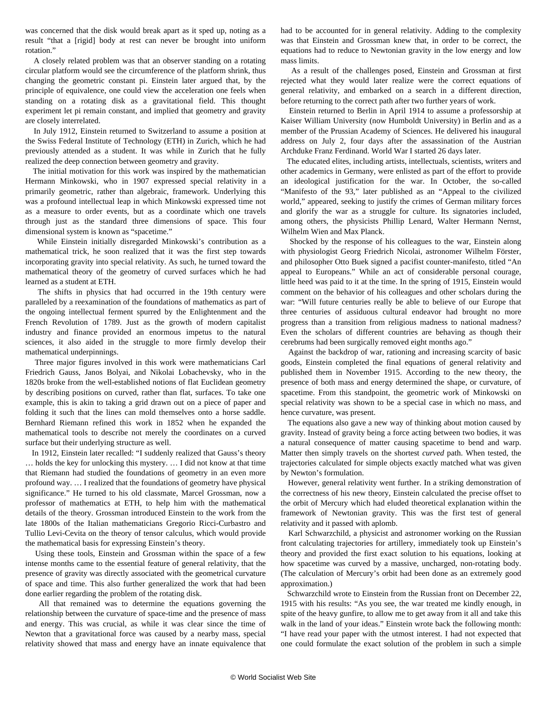was concerned that the disk would break apart as it sped up, noting as a result "that a [rigid] body at rest can never be brought into uniform rotation."

 A closely related problem was that an observer standing on a rotating circular platform would see the circumference of the platform shrink, thus changing the geometric constant pi. Einstein later argued that, by the principle of equivalence, one could view the acceleration one feels when standing on a rotating disk as a gravitational field. This thought experiment let pi remain constant, and implied that geometry and gravity are closely interrelated.

 In July 1912, Einstein returned to Switzerland to assume a position at the Swiss Federal Institute of Technology (ETH) in Zurich, which he had previously attended as a student. It was while in Zurich that he fully realized the deep connection between geometry and gravity.

 The initial motivation for this work was inspired by the mathematician Hermann Minkowski, who in 1907 expressed special relativity in a primarily geometric, rather than algebraic, framework. Underlying this was a profound intellectual leap in which Minkowski expressed time not as a measure to order events, but as a coordinate which one travels through just as the standard three dimensions of space. This four dimensional system is known as "spacetime."

 While Einstein initially disregarded Minkowski's contribution as a mathematical trick, he soon realized that it was the first step towards incorporating gravity into special relativity. As such, he turned toward the mathematical theory of the geometry of curved surfaces which he had learned as a student at ETH.

 The shifts in physics that had occurred in the 19th century were paralleled by a reexamination of the foundations of mathematics as part of the ongoing intellectual ferment spurred by the Enlightenment and the French Revolution of 1789. Just as the growth of modern capitalist industry and finance provided an enormous impetus to the natural sciences, it also aided in the struggle to more firmly develop their mathematical underpinnings.

 Three major figures involved in this work were mathematicians Carl Friedrich Gauss, Janos Bolyai, and Nikolai Lobachevsky, who in the 1820s broke from the well-established notions of flat Euclidean geometry by describing positions on curved, rather than flat, surfaces. To take one example, this is akin to taking a grid drawn out on a piece of paper and folding it such that the lines can mold themselves onto a horse saddle. Bernhard Riemann refined this work in 1852 when he expanded the mathematical tools to describe not merely the coordinates on a curved surface but their underlying structure as well.

 In 1912, Einstein later recalled: "I suddenly realized that Gauss's theory … holds the key for unlocking this mystery. … I did not know at that time that Riemann had studied the foundations of geometry in an even more profound way. … I realized that the foundations of geometry have physical significance." He turned to his old classmate, Marcel Grossman, now a professor of mathematics at ETH, to help him with the mathematical details of the theory. Grossman introduced Einstein to the work from the late 1800s of the Italian mathematicians Gregorio Ricci-Curbastro and Tullio Levi-Cevita on the theory of tensor calculus, which would provide the mathematical basis for expressing Einstein's theory.

 Using these tools, Einstein and Grossman within the space of a few intense months came to the essential feature of general relativity, that the presence of gravity was directly associated with the geometrical curvature of space and time. This also further generalized the work that had been done earlier regarding the problem of the rotating disk.

 All that remained was to determine the equations governing the relationship between the curvature of space-time and the presence of mass and energy. This was crucial, as while it was clear since the time of Newton that a gravitational force was caused by a nearby mass, special relativity showed that mass and energy have an innate equivalence that

had to be accounted for in general relativity. Adding to the complexity was that Einstein and Grossman knew that, in order to be correct, the equations had to reduce to Newtonian gravity in the low energy and low mass limits.

 As a result of the challenges posed, Einstein and Grossman at first rejected what they would later realize were the correct equations of general relativity, and embarked on a search in a different direction, before returning to the correct path after two further years of work.

 Einstein returned to Berlin in April 1914 to assume a professorship at Kaiser William University (now Humboldt University) in Berlin and as a member of the Prussian Academy of Sciences. He delivered his inaugural address on July 2, four days after the assassination of the Austrian Archduke Franz Ferdinand. World War I started 26 days later.

 The educated elites, including artists, intellectuals, scientists, writers and other academics in Germany, were enlisted as part of the effort to provide an ideological justification for the war. In October, the so-called "Manifesto of the 93," later published as an "Appeal to the civilized world," appeared, seeking to justify the crimes of German military forces and glorify the war as a struggle for culture. Its signatories included, among others, the physicists Phillip Lenard, Walter Hermann Nernst, Wilhelm Wien and Max Planck.

 Shocked by the response of his colleagues to the war, Einstein along with physiologist Georg Friedrich Nicolai, astronomer Wilhelm Förster, and philosopher Otto Buek signed a pacifist counter-manifesto, titled "An appeal to Europeans." While an act of considerable personal courage, little heed was paid to it at the time. In the spring of 1915, Einstein would comment on the behavior of his colleagues and other scholars during the war: "Will future centuries really be able to believe of our Europe that three centuries of assiduous cultural endeavor had brought no more progress than a transition from religious madness to national madness? Even the scholars of different countries are behaving as though their cerebrums had been surgically removed eight months ago."

 Against the backdrop of war, rationing and increasing scarcity of basic goods, Einstein completed the final equations of general relativity and published them in November 1915. According to the new theory, the presence of both mass and energy determined the shape, or curvature, of spacetime. From this standpoint, the geometric work of Minkowski on special relativity was shown to be a special case in which no mass, and hence curvature, was present.

 The equations also gave a new way of thinking about motion caused by gravity. Instead of gravity being a force acting between two bodies, it was a natural consequence of matter causing spacetime to bend and warp. Matter then simply travels on the shortest *curved* path. When tested, the trajectories calculated for simple objects exactly matched what was given by Newton's formulation.

 However, general relativity went further. In a striking demonstration of the correctness of his new theory, Einstein calculated the precise offset to the orbit of Mercury which had eluded theoretical explanation within the framework of Newtonian gravity. This was the first test of general relativity and it passed with aplomb.

 Karl Schwarzchild, a physicist and astronomer working on the Russian front calculating trajectories for artillery, immediately took up Einstein's theory and provided the first exact solution to his equations, looking at how spacetime was curved by a massive, uncharged, non-rotating body. (The calculation of Mercury's orbit had been done as an extremely good approximation.)

 Schwarzchild wrote to Einstein from the Russian front on December 22, 1915 with his results: "As you see, the war treated me kindly enough, in spite of the heavy gunfire, to allow me to get away from it all and take this walk in the land of your ideas." Einstein wrote back the following month: "I have read your paper with the utmost interest. I had not expected that one could formulate the exact solution of the problem in such a simple